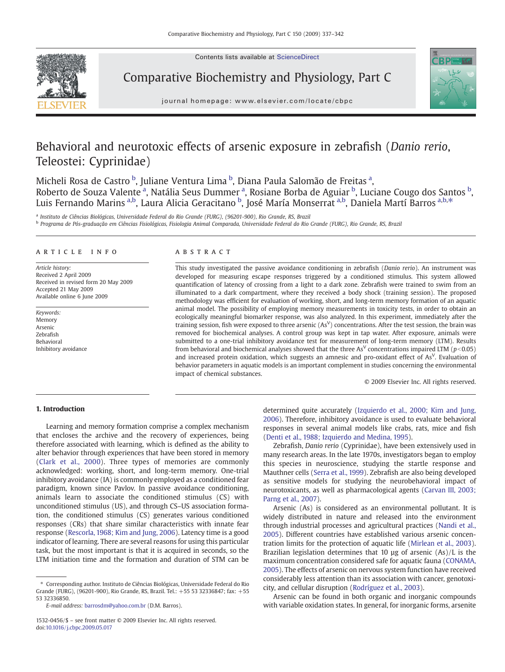Contents lists available at ScienceDirect



Comparative Biochemistry and Physiology, Part C



journal homepage: www.elsevier.com/locate/cbpc

# Behavioral and neurotoxic effects of arsenic exposure in zebrafish (Danio rerio, Teleostei: Cyprinidae)

Micheli Rosa de Castro <sup>b</sup>, Juliane Ventura Lima <sup>b</sup>, Diana Paula Salomão de Freitas <sup>a</sup>, Roberto de Souza Valente <sup>a</sup>, Natália Seus Dummer <sup>a</sup>, Rosiane Borba de Aguiar <sup>b</sup>, Luciane Cougo dos Santos <sup>b</sup>, Luis Fernando Marins <sup>a,b</sup>, Laura Alicia Geracitano <sup>b</sup>, José María Monserrat <sup>a,b</sup>, Daniela Martí Barros <sup>a,b,</sup>\*

<sup>a</sup> Instituto de Ciências Biológicas, Universidade Federal do Rio Grande (FURG), (96201-900), Rio Grande, RS, Brazil

<sup>b</sup> Programa de Pós-graduação em Ciências Fisiológicas, Fisiologia Animal Comparada, Universidade Federal do Rio Grande (FURG), Rio Grande, RS, Brazil

#### article info abstract

Article history: Received 2 April 2009 Received in revised form 20 May 2009 Accepted 21 May 2009 Available online 6 June 2009

Keywords: Memory Arsenic Zebrafish Behavioral Inhibitory avoidance

This study investigated the passive avoidance conditioning in zebrafish (Danio rerio). An instrument was developed for measuring escape responses triggered by a conditioned stimulus. This system allowed quantification of latency of crossing from a light to a dark zone. Zebrafish were trained to swim from an illuminated to a dark compartment, where they received a body shock (training session). The proposed methodology was efficient for evaluation of working, short, and long-term memory formation of an aquatic animal model. The possibility of employing memory measurements in toxicity tests, in order to obtain an ecologically meaningful biomarker response, was also analyzed. In this experiment, immediately after the training session, fish were exposed to three arsenic (As<sup>V</sup>) concentrations. After the test session, the brain was removed for biochemical analyses. A control group was kept in tap water. After exposure, animals were submitted to a one-trial inhibitory avoidance test for measurement of long-term memory (LTM). Results from behavioral and biochemical analyses showed that the three As<sup>V</sup> concentrations impaired LTM ( $p$ <0.05) and increased protein oxidation, which suggests an amnesic and pro-oxidant effect of As<sup>V</sup>. Evaluation of behavior parameters in aquatic models is an important complement in studies concerning the environmental impact of chemical substances.

© 2009 Elsevier Inc. All rights reserved.

# 1. Introduction

Learning and memory formation comprise a complex mechanism that encloses the archive and the recovery of experiences, being therefore associated with learning, which is defined as the ability to alter behavior through experiences that have been stored in memory [\(Clark et al., 2000\)](#page-4-0). Three types of memories are commonly acknowledged: working, short, and long-term memory. One-trial inhibitory avoidance (IA) is commonly employed as a conditioned fear paradigm, known since Pavlov. In passive avoidance conditioning, animals learn to associate the conditioned stimulus (CS) with unconditioned stimulus (US), and through CS–US association formation, the conditioned stimulus (CS) generates various conditioned responses (CRs) that share similar characteristics with innate fear response [\(Rescorla, 1968; Kim and Jung, 2006\)](#page-5-0). Latency time is a good indicator of learning. There are several reasons for using this particular task, but the most important is that it is acquired in seconds, so the LTM initiation time and the formation and duration of STM can be

E-mail address: [barrosdm@yahoo.com.br](mailto:barrosdm@yahoo.com.br) (D.M. Barros).

determined quite accurately ([Izquierdo et al., 2000; Kim and Jung,](#page-4-0) [2006](#page-4-0)). Therefore, inhibitory avoidance is used to evaluate behavioral responses in several animal models like crabs, rats, mice and fish [\(Denti et al., 1988; Izquierdo and Medina, 1995\)](#page-4-0).

Zebrafish, Danio rerio (Cyprinidae), have been extensively used in many research areas. In the late 1970s, investigators began to employ this species in neuroscience, studying the startle response and Mauthner cells [\(Serra et al., 1999](#page-5-0)). Zebrafish are also being developed as sensitive models for studying the neurobehavioral impact of neurotoxicants, as well as pharmacological agents ([Carvan III, 2003;](#page-4-0) [Parng et al., 2007\)](#page-4-0).

Arsenic (As) is considered as an environmental pollutant. It is widely distributed in nature and released into the environment through industrial processes and agricultural practices [\(Nandi et al.,](#page-5-0) [2005\)](#page-5-0). Different countries have established various arsenic concentration limits for the protection of aquatic life ([Mirlean et al., 2003](#page-5-0)). Brazilian legislation determines that 10 µg of arsenic (As)/L is the maximum concentration considered safe for aquatic fauna [\(CONAMA,](#page-4-0) [2005\)](#page-4-0). The effects of arsenic on nervous system function have received considerably less attention than its association with cancer, genotoxicity, and cellular disruption [\(Rodríguez et al., 2003](#page-5-0)).

Arsenic can be found in both organic and inorganic compounds with variable oxidation states. In general, for inorganic forms, arsenite

<sup>⁎</sup> Corresponding author. Instituto de Ciências Biológicas, Universidade Federal do Rio Grande (FURG), (96201-900), Rio Grande, RS, Brazil. Tel.: +55 53 32336847; fax: +55 53 32336850.

<sup>1532-0456/\$</sup> – see front matter © 2009 Elsevier Inc. All rights reserved. doi:[10.1016/j.cbpc.2009.05.017](http://dx.doi.org/10.1016/j.cbpc.2009.05.017)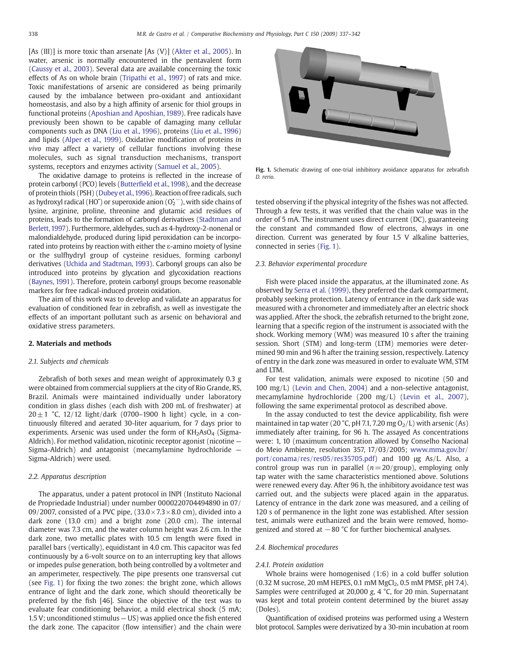[As (III)] is more toxic than arsenate [As (V)] [\(Akter et al., 2005\)](#page-4-0). In water, arsenic is normally encountered in the pentavalent form [\(Caussy et al., 2003\)](#page-4-0). Several data are available concerning the toxic effects of As on whole brain ([Tripathi et al., 1997](#page-5-0)) of rats and mice. Toxic manifestations of arsenic are considered as being primarily caused by the imbalance between pro-oxidant and antioxidant homeostasis, and also by a high affinity of arsenic for thiol groups in functional proteins ([Aposhian and Aposhian, 1989\)](#page-4-0). Free radicals have previously been shown to be capable of damaging many cellular components such as DNA ([Liu et al., 1996](#page-5-0)), proteins ([Liu et al., 1996](#page-5-0)) and lipids ([Alper et al., 1999\)](#page-4-0). Oxidative modification of proteins in vivo may affect a variety of cellular functions involving these molecules, such as signal transduction mechanisms, transport systems, receptors and enzymes activity [\(Samuel et al., 2005](#page-5-0)).

The oxidative damage to proteins is reflected in the increase of protein carbonyl (PCO) levels (Butterfi[eld et al., 1998](#page-4-0)), and the decrease of protein thiols (PSH) [\(Dubey et al.,1996](#page-4-0)). Reaction of free radicals, such as hydroxyl radical (HO<sup>\*</sup>) or superoxide anion  $(O_2^{\star -})$ , with side chains of lysine, arginine, proline, threonine and glutamic acid residues of proteins, leads to the formation of carbonyl derivatives [\(Stadtman and](#page-5-0) [Berlett, 1997](#page-5-0)). Furthermore, aldehydes, such as 4-hydroxy-2-nonenal or malondialdehyde, produced during lipid peroxidation can be incorporated into proteins by reaction with either the ε-amino moiety of lysine or the sulfhydryl group of cysteine residues, forming carbonyl derivatives [\(Uchida and Stadtman, 1993](#page-5-0)). Carbonyl groups can also be introduced into proteins by glycation and glycoxidation reactions [\(Baynes, 1991\)](#page-4-0). Therefore, protein carbonyl groups become reasonable markers for free radical-induced protein oxidation.

The aim of this work was to develop and validate an apparatus for evaluation of conditioned fear in zebrafish, as well as investigate the effects of an important pollutant such as arsenic on behavioral and oxidative stress parameters.

# 2. Materials and methods

# 2.1. Subjects and chemicals

Zebrafish of both sexes and mean weight of approximately 0.3 g were obtained from commercial suppliers at the city of Rio Grande, RS, Brazil. Animals were maintained individually under laboratory condition in glass dishes (each dish with 200 mL of freshwater) at  $20 \pm 1$  °C, 12/12 light/dark (0700–1900 h light) cycle, in a continuously filtered and aerated 30-liter aquarium, for 7 days prior to experiments. Arsenic was used under the form of  $KH<sub>2</sub>AsO<sub>4</sub>$  (Sigma-Aldrich). For method validation, nicotinic receptor agonist (nicotine — Sigma-Aldrich) and antagonist (mecamylamine hydrochloride — Sigma-Aldrich) were used.

# 2.2. Apparatus description

The apparatus, under a patent protocol in INPI (Instituto Nacional de Propriedade Industrial) under number 0000220704494890 in 07/ 09/2007, consisted of a PVC pipe,  $(33.0 \times 7.3 \times 8.0 \text{ cm})$ , divided into a dark zone (13.0 cm) and a bright zone (20.0 cm). The internal diameter was 7.3 cm, and the water column height was 2.6 cm. In the dark zone, two metallic plates with 10.5 cm length were fixed in parallel bars (vertically), equidistant in 4.0 cm. This capacitor was fed continuously by a 6-volt source on to an interrupting key that allows or impedes pulse generation, both being controlled by a voltmeter and an amperimeter, respectively. The pipe presents one transversal cut (see Fig. 1) for fixing the two zones: the bright zone, which allows entrance of light and the dark zone, which should theoretically be preferred by the fish [46]. Since the objective of the test was to evaluate fear conditioning behavior, a mild electrical shock (5 mA; 1.5 V; unconditioned stimulus — US) was applied once the fish entered the dark zone. The capacitor (flow intensifier) and the chain were



Fig. 1. Schematic drawing of one-trial inhibitory avoidance apparatus for zebrafish D. rerio.

tested observing if the physical integrity of the fishes was not affected. Through a few tests, it was verified that the chain value was in the order of 5 mA. The instrument uses direct current (DC), guaranteeing the constant and commanded flow of electrons, always in one direction. Current was generated by four 1.5 V alkaline batteries, connected in series (Fig. 1).

# 2.3. Behavior experimental procedure

Fish were placed inside the apparatus, at the illuminated zone. As observed by [Serra et al. \(1999\),](#page-5-0) they preferred the dark compartment, probably seeking protection. Latency of entrance in the dark side was measured with a chronometer and immediately after an electric shock was applied. After the shock, the zebrafish returned to the bright zone, learning that a specific region of the instrument is associated with the shock. Working memory (WM) was measured 10 s after the training session. Short (STM) and long-term (LTM) memories were determined 90 min and 96 h after the training session, respectively. Latency of entry in the dark zone was measured in order to evaluate WM, STM and LTM.

For test validation, animals were exposed to nicotine (50 and 100 mg/L) [\(Levin and Chen, 2004](#page-4-0)) and a non-selective antagonist, mecamylamine hydrochloride (200 mg/L) ([Levin et al., 2007](#page-5-0)), following the same experimental protocol as described above.

In the assay conducted to test the device applicability, fish were maintained in tap water (20 °C, pH 7.1, 7.20 mg  $O<sub>2</sub>/L$ ) with arsenic (As) immediately after training, for 96 h. The assayed As concentrations were: 1, 10 (maximum concentration allowed by Conselho Nacional do Meio Ambiente, resolution 357, 17/03/2005; [www.mma.gov.br/](http://www.mma.gov.br/port/conama/res/res05/res35705.pdf) [port/conama/res/res05/res35705.pdf](http://www.mma.gov.br/port/conama/res/res05/res35705.pdf)) and 100 μg As/L. Also, a control group was run in parallel  $(n= 20/\text{group})$ , employing only tap water with the same characteristics mentioned above. Solutions were renewed every day. After 96 h, the inhibitory avoidance test was carried out, and the subjects were placed again in the apparatus. Latency of entrance in the dark zone was measured, and a ceiling of 120 s of permanence in the light zone was established. After session test, animals were euthanized and the brain were removed, homogenized and stored at  $-80$  °C for further biochemical analyses.

#### 2.4. Biochemical procedures

#### 2.4.1. Protein oxidation

Whole brains were homogenised (1:6) in a cold buffer solution  $(0.32 \text{ M} \text{ sucrose}, 20 \text{ mM} \text{ HEPES}, 0.1 \text{ mM } \text{MgCl}_2, 0.5 \text{ mM } \text{PMSF}, \text{ pH } 7.4).$ Samples were centrifuged at 20,000 g, 4 °C, for 20 min. Supernatant was kept and total protein content determined by the biuret assay (Doles).

Quantification of oxidised proteins was performed using a Western blot protocol. Samples were derivatized by a 30-min incubation at room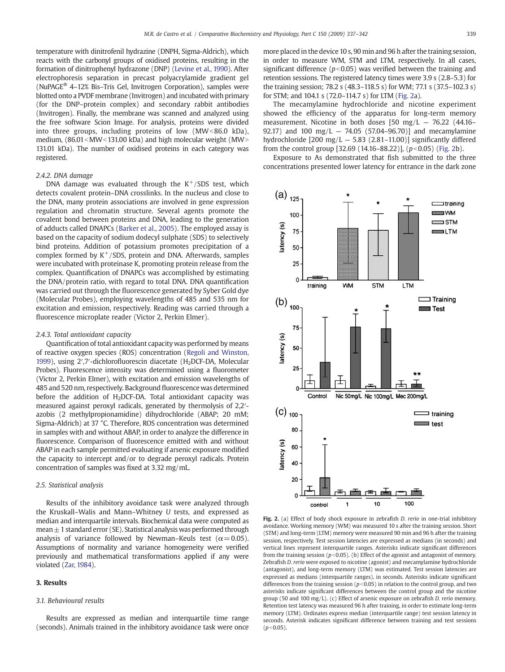<span id="page-2-0"></span>temperature with dinitrofenil hydrazine (DNPH, Sigma-Aldrich), which reacts with the carbonyl groups of oxidised proteins, resulting in the formation of dinitrophenyl hydrazone (DNP) [\(Levine et al., 1990\)](#page-5-0). After electrophoresis separation in precast polyacrylamide gradient gel (NuPAGE® 4–12% Bis–Tris Gel, Invitrogen Corporation), samples were blotted onto a PVDF membrane (Invitrogen) and incubated with primary (for the DNP–protein complex) and secondary rabbit antibodies (Invitrogen). Finally, the membrane was scanned and analyzed using the free software Scion Image. For analysis, proteins were divided into three groups, including proteins of low  $(MW < 86.0 \text{ kDa})$ , medium,  $(86.01<$ MW $<$ 131.00 kDa) and high molecular weight (MW $>$ 131.01 kDa). The number of oxidised proteins in each category was registered.

# 2.4.2. DNA damage

DNA damage was evaluated through the  $K^+/SDS$  test, which detects covalent protein–DNA crosslinks. In the nucleus and close to the DNA, many protein associations are involved in gene expression regulation and chromatin structure. Several agents promote the covalent bond between proteins and DNA, leading to the generation of adducts called DNAPCs [\(Barker et al., 2005\)](#page-4-0). The employed assay is based on the capacity of sodium dodecyl sulphate (SDS) to selectively bind proteins. Addition of potassium promotes precipitation of a complex formed by  $K^+/SDS$ , protein and DNA. Afterwards, samples were incubated with proteinase K, promoting protein release from the complex. Quantification of DNAPCs was accomplished by estimating the DNA/protein ratio, with regard to total DNA. DNA quantification was carried out through the fluorescence generated by Syber Gold dye (Molecular Probes), employing wavelengths of 485 and 535 nm for excitation and emission, respectively. Reading was carried through a fluorescence microplate reader (Victor 2, Perkin Elmer).

#### 2.4.3. Total antioxidant capacity

Quantification of total antioxidant capacity was performed by means of reactive oxygen species (ROS) concentration [\(Regoli and Winston,](#page-5-0) [1999\)](#page-5-0), using 2',7'-dichlorofluorescin diacetate (H<sub>2</sub>DCF-DA, Molecular Probes). Fluorescence intensity was determined using a fluorometer (Victor 2, Perkin Elmer), with excitation and emission wavelengths of 485 and 520 nm, respectively. Background fluorescence was determined before the addition of H<sub>2</sub>DCF-DA. Total antioxidant capacity was measured against peroxyl radicals, generated by thermolysis of 2,2′ azobis (2 methylpropionamidine) dihydrochloride (ABAP; 20 mM; Sigma-Aldrich) at 37 °C. Therefore, ROS concentration was determined in samples with and without ABAP, in order to analyze the difference in fluorescence. Comparison of fluorescence emitted with and without ABAP in each sample permitted evaluating if arsenic exposure modified the capacity to intercept and/or to degrade peroxyl radicals. Protein concentration of samples was fixed at 3.32 mg/mL.

# 2.5. Statistical analysis

Results of the inhibitory avoidance task were analyzed through the Kruskall–Walis and Mann–Whitney U tests, and expressed as median and interquartile intervals. Biochemical data were computed as mean $\pm$  1 standard error (SE). Statistical analysis was performed through analysis of variance followed by Newman–Keuls test ( $\alpha$  = 0.05). Assumptions of normality and variance homogeneity were verified previously and mathematical transformations applied if any were violated [\(Zar, 1984\)](#page-5-0).

# 3. Results

#### 3.1. Behavioural results

Results are expressed as median and interquartile time range (seconds). Animals trained in the inhibitory avoidance task were once more placed in the device 10 s, 90 min and 96 h after the training session, in order to measure WM, STM and LTM, respectively. In all cases, significant difference ( $p<0.05$ ) was verified between the training and retention sessions. The registered latency times were 3.9 s (2.8–5.3) for the training session; 78.2 s (48.3–118.5 s) for WM; 77.1 s (37.5–102.3 s) for STM; and 104.1 s (72.0–114.7 s) for LTM (Fig. 2a).

The mecamylamine hydrochloride and nicotine experiment showed the efficiency of the apparatus for long-term memory measurement. Nicotine in both doses  $[50 \text{ mg/L} - 76.22 \text{ (44.16-}$ 92.17) and 100 mg/L  $-$  74.05 (57.04–96.70)] and mecamylamine hydrochloride  $[200 \text{ mg/L} - 5.83 (2.81-11.00)]$  significantly differed from the control group [32.69 (14.16–88.22)],  $(p<0.05)$  (Fig. 2b).

Exposure to As demonstrated that fish submitted to the three concentrations presented lower latency for entrance in the dark zone



Fig. 2. (a) Effect of body shock exposure in zebrafish D. rerio in one-trial inhibitory avoidance. Working memory (WM) was measured 10 s after the training session. Short (STM) and long-term (LTM) memory were measured 90 min and 96 h after the training session, respectively. Test session latencies are expressed as medians (in seconds) and vertical lines represent interquartile ranges. Asterisks indicate significant differences from the training session ( $p<0.05$ ). (b) Effect of the agonist and antagonist of memory. Zebrafish D. rerio were exposed to nicotine (agonist) and mecamylamine hydrochloride (antagonist), and long-term memory (LTM) was estimated. Test session latencies are expressed as medians (interquartile ranges), in seconds. Asterisks indicate significant differences from the training session ( $p<$  0.05) in relation to the control group, and two asterisks indicate significant differences between the control group and the nicotine group (50 and 100 mg/L). (c) Effect of arsenic exposure on zebrafish D. rerio memory. Retention test latency was measured 96 h after training, in order to estimate long-term memory (LTM). Ordinates express median (interquartile range) test session latency in seconds. Asterisk indicates significant difference between training and test sessions  $(p<0.05)$ .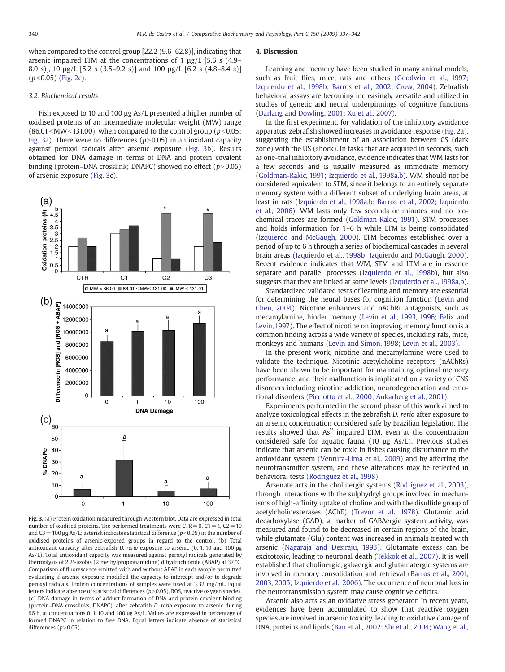when compared to the control group [22.2 (9.6–62.8)], indicating that arsenic impaired LTM at the concentrations of 1 µg/L [5.6 s (4.9– 8.0 s)], 10 µg/L [5.2 s (3.5–9.2 s)] and 100 µg/L [6.2 s (4.8–8.4 s)]  $(p<0.05)$  ([Fig. 2](#page-2-0)c).

#### 3.2. Biochemical results

Fish exposed to 10 and 100 µg As/L presented a higher number of oxidised proteins of an intermediate molecular weight (MW) range  $(86.01<$ MW $<$ 131.00), when compared to the control group ( $p<$ 0.05; Fig. 3a). There were no differences ( $p$ >0.05) in antioxidant capacity against peroxyl radicals after arsenic exposure (Fig. 3b). Results obtained for DNA damage in terms of DNA and protein covalent binding (protein–DNA crosslink; DNAPC) showed no effect  $(p>0.05)$ of arsenic exposure (Fig. 3c).



Fig. 3. (a) Protein oxidation measured through Western blot. Data are expressed in total number of oxidised proteins. The performed treatments were  $CTR = 0$ ,  $C1 = 1$ ,  $C2 = 10$ and C3 = 100 µg As/L; asterisk indicates statistical difference ( $p$ <0.05) in the number of oxidised proteins of arsenic-exposed groups in regard to the control. (b) Total antioxidant capacity after zebrafish D. rerio exposure to arsenic (0, 1, 10 and 100 μg As/L). Total antioxidant capacity was measured against peroxyl radicals generated by thermolysis of 2,2′-azobis (2 methylpropionamidine) dihydrochloride (ABAP) at 37 °C. Comparison of fluorescence emitted with and without ABAP in each sample permitted evaluating if arsenic exposure modified the capacity to intercept and/or to degrade peroxyl radicals. Protein concentrations of samples were fixed at 3.32 mg/mL. Equal letters indicate absence of statistical differences ( $p$  > 0.05). ROS, reactive oxygen species. (c) DNA damage in terms of adduct formation of DNA and protein covalent binding (protein–DNA crosslinks, DNAPC), after zebrafish D. rerio exposure to arsenic during 96 h, at concentrations 0, 1, 10 and 100 μg As/L. Values are expressed in percentage of formed DNAPC in relation to free DNA. Equal letters indicate absence of statistical differences  $(p>0.05)$ .

#### 4. Discussion

Learning and memory have been studied in many animal models, such as fruit flies, mice, rats and others ([Goodwin et al., 1997;](#page-4-0) [Izquierdo et al., 1998b; Barros et al., 2002; Crow, 2004](#page-4-0)). Zebrafish behavioral assays are becoming increasingly versatile and utilized in studies of genetic and neural underpinnings of cognitive functions [\(Darlang and Dowling, 2001; Xu et al., 2007](#page-4-0)).

In the first experiment, for validation of the inhibitory avoidance apparatus, zebrafish showed increases in avoidance response ([Fig. 2](#page-2-0)a), suggesting the establishment of an association between CS (dark zone) with the US (shock). In tasks that are acquired in seconds, such as one-trial inhibitory avoidance, evidence indicates that WM lasts for a few seconds and is usually measured as immediate memory [\(Goldman-Rakic, 1991; Izquierdo et al., 1998a,b](#page-4-0)). WM should not be considered equivalent to STM, since it belongs to an entirely separate memory system with a different subset of underlying brain areas, at least in rats ([Izquierdo et al., 1998a,b; Barros et al., 2002; Izquierdo](#page-4-0) [et al., 2006\)](#page-4-0). WM lasts only few seconds or minutes and no biochemical traces are formed [\(Goldman-Rakic, 1991\)](#page-4-0). STM processes and holds information for 1–6 h while LTM is being consolidated [\(Izquierdo and McGaugh, 2000\)](#page-4-0). LTM becomes established over a period of up to 6 h through a series of biochemical cascades in several brain areas ([Izquierdo et al., 1998b; Izquierdo and McGaugh, 2000](#page-4-0)). Recent evidence indicates that WM, STM and LTM are in essence separate and parallel processes ([Izquierdo et al., 1998b\)](#page-4-0), but also suggests that they are linked at some levels ([Izquierdo et al., 1998a,b](#page-4-0)).

Standardized validated tests of learning and memory are essential for determining the neural bases for cognition function [\(Levin and](#page-4-0) [Chen, 2004](#page-4-0)). Nicotine enhancers and nAChRr antagonists, such as mecamylamine, hinder memory [\(Levin et al., 1993, 1996; Felix and](#page-5-0) [Levin, 1997\)](#page-5-0). The effect of nicotine on improving memory function is a common finding across a wide variety of species, including rats, mice, monkeys and humans ([Levin and Simon, 1998; Levin et al., 2003](#page-4-0)).

In the present work, nicotine and mecamylamine were used to validate the technique. Nicotinic acetylcholine receptors (nAChRs) have been shown to be important for maintaining optimal memory performance, and their malfunction is implicated on a variety of CNS disorders including nicotine addiction, neurodegeneration and emotional disorders ([Picciotto et al., 2000; Ankarberg et al., 2001](#page-5-0)).

Experiments performed in the second phase of this work aimed to analyze toxicological effects in the zebrafish D. rerio after exposure to an arsenic concentration considered safe by Brazilian legislation. The results showed that  $As<sup>V</sup>$  impaired LTM, even at the concentration considered safe for aquatic fauna (10 µg As/L). Previous studies indicate that arsenic can be toxic in fishes causing disturbance to the antioxidant system [\(Ventura-Lima et al., 2009](#page-5-0)) and by affecting the neurotransmitter system, and these alterations may be reflected in behavioral tests ([Rodriguez et al., 1998\)](#page-5-0).

Arsenate acts in the cholinergic systems [\(Rodríguez et al., 2003](#page-5-0)), through interactions with the sulphydryl groups involved in mechanisms of high-affinity uptake of choline and with the disulfide group of acetylcholinesterases (AChE) ([Trevor et al., 1978\)](#page-5-0). Glutamic acid decarboxylase (GAD), a marker of GABAergic system activity, was measured and found to be decreased in certain regions of the brain, while glutamate (Glu) content was increased in animals treated with arsenic [\(Nagaraja and Desiraju, 1993](#page-5-0)). Glutamate excess can be excitotoxic, leading to neuronal death [\(Tekkok et al., 2007\)](#page-5-0). It is well established that cholinergic, gabaergic and glutamatergic systems are involved in memory consolidation and retrieval [\(Barros et al., 2001,](#page-4-0) [2003, 2005; Izquierdo et al., 2006\)](#page-4-0). The occurrence of neuronal loss in the neurotransmission system may cause cognitive deficits.

Arsenic also acts as an oxidative stress generator. In recent years, evidences have been accumulated to show that reactive oxygen species are involved in arsenic toxicity, leading to oxidative damage of DNA, proteins and lipids [\(Bau et al., 2002; Shi et al., 2004; Wang et al.,](#page-4-0)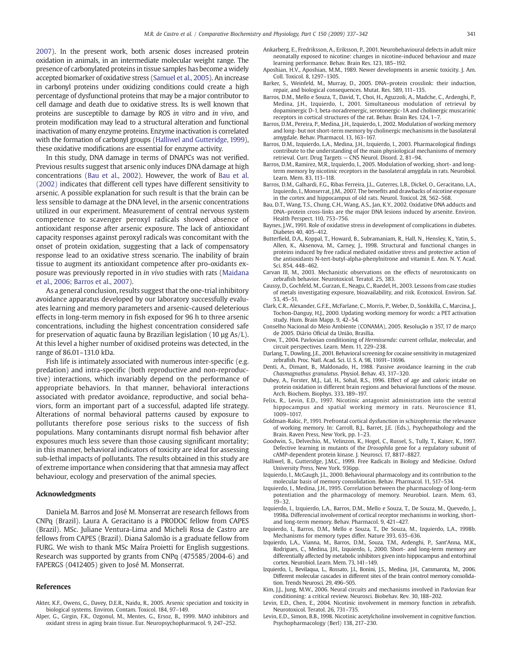<span id="page-4-0"></span>2007). In the present work, both arsenic doses increased protein oxidation in animals, in an intermediate molecular weight range. The presence of carbonylated proteins in tissue samples has become a widely accepted biomarker of oxidative stress ([Samuel et al., 2005](#page-5-0)). An increase in carbonyl proteins under oxidizing conditions could create a high percentage of dysfunctional proteins that may be a major contributor to cell damage and death due to oxidative stress. Its is well known that proteins are susceptible to damage by ROS in vitro and in vivo, and protein modification may lead to a structural alteration and functional inactivation of many enzyme proteins. Enzyme inactivation is correlated with the formation of carbonyl groups (Halliwel and Gutteridge, 1999), these oxidative modifications are essential for enzyme activity.

In this study, DNA damage in terms of DNAPCs was not verified. Previous results suggest that arsenic only induces DNA damage at high concentrations (Bau et al., 2002). However, the work of Bau et al. (2002) indicates that different cell types have different sensitivity to arsenic. A possible explanation for such result is that the brain can be less sensible to damage at the DNA level, in the arsenic concentrations utilized in our experiment. Measurement of central nervous system competence to scavenger peroxyl radicals showed absence of antioxidant response after arsenic exposure. The lack of antioxidant capacity responses against peroxyl radicals was concomitant with the onset of protein oxidation, suggesting that a lack of compensatory response lead to an oxidative stress scenario. The inability of brain tissue to augment its antioxidant competence after pro-oxidants exposure was previously reported in in vivo studies with rats [\(Maidana](#page-5-0) [et al., 2006; Barros et al., 2007](#page-5-0)).

As a general conclusion, results suggest that the one-trial inhibitory avoidance apparatus developed by our laboratory successfully evaluates learning and memory parameters and arsenic-caused deleterious effects in long-term memory in fish exposed for 96 h to three arsenic concentrations, including the highest concentration considered safe for preservation of aquatic fauna by Brazilian legislation (10  $\mu$ g As/L). At this level a higher number of oxidised proteins was detected, in the range of 86.01–131.0 kDa.

Fish life is intimately associated with numerous inter-specific (e.g. predation) and intra-specific (both reproductive and non-reproductive) interactions, which invariably depend on the performance of appropriate behaviors. In that manner, behavioral interactions associated with predator avoidance, reproductive, and social behaviors, form an important part of a successful, adapted life strategy. Alterations of normal behavioral patterns caused by exposure to pollutants therefore pose serious risks to the success of fish populations. Many contaminants disrupt normal fish behavior after exposures much less severe than those causing significant mortality; in this manner, behavioral indicators of toxicity are ideal for assessing sub-lethal impacts of pollutants. The results obtained in this study are of extreme importance when considering that that amnesia may affect behaviour, ecology and preservation of the animal species.

# Acknowledgments

Daniela M. Barros and José M. Monserrat are research fellows from CNPq (Brazil). Laura A. Geracitano is a PRODOC fellow from CAPES (Brazil). MSc. Juliane Ventura-Lima and Micheli Rosa de Castro are fellows from CAPES (Brazil). Diana Salomão is a graduate fellow from FURG. We wish to thank MSc Maíra Proietti for English suggestions. Research was supported by grants from CNPq (475585/2004-6) and FAPERGS (0412405) given to José M. Monserrat.

#### References

- Akter, K.F., Owens, G., Davey, D.E.R., Naidu, R., 2005. Arsenic speciation and toxicity in biological systems. Environ. Contam. Toxicol. 184, 97–149.
- Alper, G., Girgin, F.K., Ozgonul, M., Mentes, G., Ersoz, B., 1999. MAO inhibitors and oxidant stress in aging brain tissue. Eur. Neuropsychopharmacol. 9, 247–252.
- Ankarberg, E., Fredriksson, A., Eriksson, P., 2001. Neurobehavioural defects in adult mice neonatally exposed to nicotine: changes in nicotine-induced behaviour and maze learning performance. Behav. Brain Res. 123, 185–192.
- Aposhian, H.V., Aposhian, M.M., 1989. Newer developments in arsenic toxicity. J. Am. Coll. Toxicol. 8, 1297–1305.
- Barker, S., Weinfeld, M., Murray, D., 2005. DNA–protein crosslink: their induction, repair, and biological consequences. Mutat. Res. 589, 111–135.
- Barros, D.M., Mello e Souza, T., David, T., Choi, H., Aguzzoli, A., Madche, C., Ardenghi, P., Medina, J.H., Izquierdo, I., 2001. Simultaneous modulation of retrieval by dopaminergic D-1, beta-noradrenergic, serotonergic-1A and cholinergic muscarinic receptors in cortical structures of the rat. Behav. Brain Res. 124, 1–7.
- Barros, D.M., Pereira, P., Medina, J.H., Izquierdo, I., 2002. Modulation of working memory and long- but not short-term memory by cholinergic mechanisms in the basolateral amygdale. Behav. Pharmacol. 13, 163–167.
- Barros, D.M., Izquierdo, L.A., Medina, J.H., Izquierdo, I., 2003. Pharmacological findings contribute to the understanding of the main physiological mechanisms of memory retrieval. Curr. Drug Targets — CNS Neurol. Disord. 2, 81–94.
- Barros, D.M., Ramirez, M.R., Izquierdo, I., 2005. Modulation of working, short- and longterm memory by nicotinic receptors in the basolateral amygdala in rats. Neurobiol. Learn. Mem. 83, 113–118.
- Barros, D.M., Galhardi, F.G., Ribas Ferreira, J.L., Guterres, L.B., Dickel, O., Geracitano, L.A., Izquierdo, I., Monserrat, J.M., 2007. The benefits and drawbacks of nicotine exposure in the cortex and hippocampus of old rats. Neurol. Toxicol. 28, 562–568.
- Bau, D.T., Wang, T.S., Chung, C.H., Wang, A.S., Jan, K.Y., 2002. Oxidative DNA adducts and DNA–protein cross-links are the major DNA lesions induced by arsenite. Environ. Health Perspect. 110, 753–756.
- Baynes, J.W., 1991. Role of oxidative stress in development of complications in diabetes. Diabetes 40, 405–412.
- Butterfield, D.A., Koppal, T., Howard, B., Subramaniam, R., Hall, N., Hensley, K., Yatin, S., Allen, K., Aksenova, M., Carney, J., 1998. Structural and functional changes in proteins induced by free radical mediated oxidative stress and protective action of the antioxidants N-tert-butyl-alpha-phenylnitrone and vitamin E. Ann. N. Y. Acad. Sci. 854, 448–462.
- Carvan III, M., 2003. Mechanistic observations on the effects of neurotoxicants on zebrafish behavior. Neurotoxicol. Teratol. 25, 383.
- Caussy, D., Gochfeld, M., Gurzan, E., Neagu, C., Ruedel, H., 2003. Lessons from case studies of metals investigating exposure, bioavailability, and risk. Ecotoxicol. Environ. Saf. 53, 45–51.
- Clark, C.R., Alexander, G.F.E., McFarlane, C., Morris, P., Weber, D., Sonkkilla, C., Marcina, J., Tochon-Danguy, H.J., 2000. Updating working memory for words: a PET activation study. Hum. Brain Mapp. 9, 42–54.
- Conselho Nacional do Meio Ambiente (CONAMA), 2005. Resolução n 357, 17 de março de 2005. Diário Oficial da União, Brasília.
- Crow, T., 2004. Pavlovian conditioning of Hermissenda: current cellular, molecular, and circuit perspectives. Learn. Mem. 11, 229–238.
- Darlang, T., Dowling, J.E., 2001. Behavioral screening for cocaine sensitivity in mutagenized zebrafish. Proc. Natl. Acad. Sci. U. S. A. 98, 11691–11696.
- Denti, A., Dimant, B., Maldonado, H., 1988. Passive avoidance learning in the crab Chasmagnathus granulatus. Physiol. Behav. 43, 317–320.
- Dubey, A., Forster, M.J., Lal, H., Sohal, R.S., 1996. Effect of age and caloric intake on protein oxidation in different brain regions and behavioral functions of the mouse. Arch. Biochem. Biophys. 333, 189–197.
- Felix, R., Levin, E.D., 1997. Nicotinic antagonist administration into the ventral hippocampus and spatial working memory in rats. Neuroscience 81, 1009–1017.
- Goldman-Rakic, P., 1991. Prefrontal cortical dysfunction in schizophrenia: the relevance of working memory. In: Carroll, B.J., Barret, J.E. (Eds.), Psychopathology and the Brain. Raven Press, New York, pp. 1–23.
- Goodwin, S., Delvechio, M., Velinzon, K., Hogel, C., Russel, S., Tully, T., Kaiser, K., 1997. Defective learning in mutants of the Drosophila gene for a regulatory subunit of cAMP-dependent protein kinase. J. Neurosci. 17, 8817–8827.
- Halliwel, B., Gutteridge, J.M.C., 1999. Free Radicals in Biology and Medicine. Oxford University Press, New York. 936pp.
- Izquierdo, I., McGaugh, J.L., 2000. Behavioural pharmacology and its contribution to the molecular basis of memory consolidation. Behav. Pharmacol. 11, 517–534.
- Izquierdo, I., Medina, J.H., 1995. Correlation between the pharmacology of long-term potentiation and the pharmacology of memory. Neurobiol. Learn. Mem. 63, 19–32.
- Izquierdo, I., Izquierdo, L.A., Barros, D.M., Mello e Souza, T., De Souza, M., Quevedo, J., 1998a. Differencial involvement of cortical receptor mechanisms in working, shortand long-term memory. Behav. Pharmacol. 9, 421–427.
- Izquierdo, I., Barros, D.M., Mello e Souza, T., De Souza, M., Izquierdo, L.A., 1998b. Mechanisms for memory types differ. Nature 393, 635–636.
- Izquierdo, L.A., Vianna, M., Barros, D.M., Souza, T.M., Ardenghi, P., Sant'Anna, M.K., Rodrigues, C., Medina, J.H., Izquierdo, I., 2000. Short- and long-term memory are differentially affected by metabolic inhibitors given into hippocampus and entorhinal cortex. Neurobiol. Learn. Mem. 73, 141–149.
- Izquierdo, I., Bevilaqua, L., Rossato, J.I., Bonini, J.S., Medina, J.H., Cammarota, M., 2006. Different molecular cascades in different sites of the brain control memory consolidation. Trends Neurosci. 29, 496–505.
- Kim, J.J., Jung, M.W., 2006. Neural circuits and mechanisms involved in Pavlovian fear conditioning: a critical review. Neurosci. Biobehav. Rev. 30, 188–202.
- Levin, E.D., Chen, E., 2004. Nicotinic involvement in memory function in zebrafish. Neurotoxicol. Teratol. 26, 731–735.
- Levin, E.D., Simon, B.B., 1998. Nicotinic acetylcholine involvement in cognitive function. Psychopharmacology (Berl) 138, 217–230.